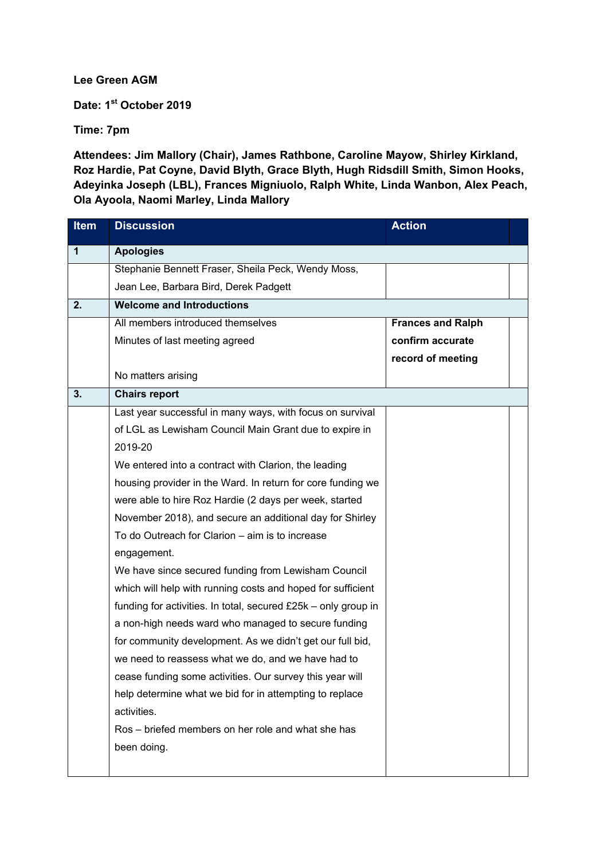**Lee Green AGM** 

**Date: 1st October 2019** 

**Time: 7pm** 

**Attendees: Jim Mallory (Chair), James Rathbone, Caroline Mayow, Shirley Kirkland, Roz Hardie, Pat Coyne, David Blyth, Grace Blyth, Hugh Ridsdill Smith, Simon Hooks, Adeyinka Joseph (LBL), Frances Migniuolo, Ralph White, Linda Wanbon, Alex Peach, Ola Ayoola, Naomi Marley, Linda Mallory** 

| <b>Item</b> | <b>Discussion</b>                                              | <b>Action</b>            |  |
|-------------|----------------------------------------------------------------|--------------------------|--|
| 1           | <b>Apologies</b>                                               |                          |  |
|             | Stephanie Bennett Fraser, Sheila Peck, Wendy Moss,             |                          |  |
|             | Jean Lee, Barbara Bird, Derek Padgett                          |                          |  |
| 2.          | <b>Welcome and Introductions</b>                               |                          |  |
|             | All members introduced themselves                              | <b>Frances and Ralph</b> |  |
|             | Minutes of last meeting agreed                                 | confirm accurate         |  |
|             |                                                                | record of meeting        |  |
|             | No matters arising                                             |                          |  |
| 3.          | <b>Chairs report</b>                                           |                          |  |
|             | Last year successful in many ways, with focus on survival      |                          |  |
|             | of LGL as Lewisham Council Main Grant due to expire in         |                          |  |
|             | 2019-20                                                        |                          |  |
|             | We entered into a contract with Clarion, the leading           |                          |  |
|             | housing provider in the Ward. In return for core funding we    |                          |  |
|             | were able to hire Roz Hardie (2 days per week, started         |                          |  |
|             | November 2018), and secure an additional day for Shirley       |                          |  |
|             | To do Outreach for Clarion - aim is to increase                |                          |  |
|             | engagement.                                                    |                          |  |
|             | We have since secured funding from Lewisham Council            |                          |  |
|             | which will help with running costs and hoped for sufficient    |                          |  |
|             | funding for activities. In total, secured £25k - only group in |                          |  |
|             | a non-high needs ward who managed to secure funding            |                          |  |
|             | for community development. As we didn't get our full bid,      |                          |  |
|             | we need to reassess what we do, and we have had to             |                          |  |
|             | cease funding some activities. Our survey this year will       |                          |  |
|             | help determine what we bid for in attempting to replace        |                          |  |
|             | activities.                                                    |                          |  |
|             | Ros – briefed members on her role and what she has             |                          |  |
|             | been doing.                                                    |                          |  |
|             |                                                                |                          |  |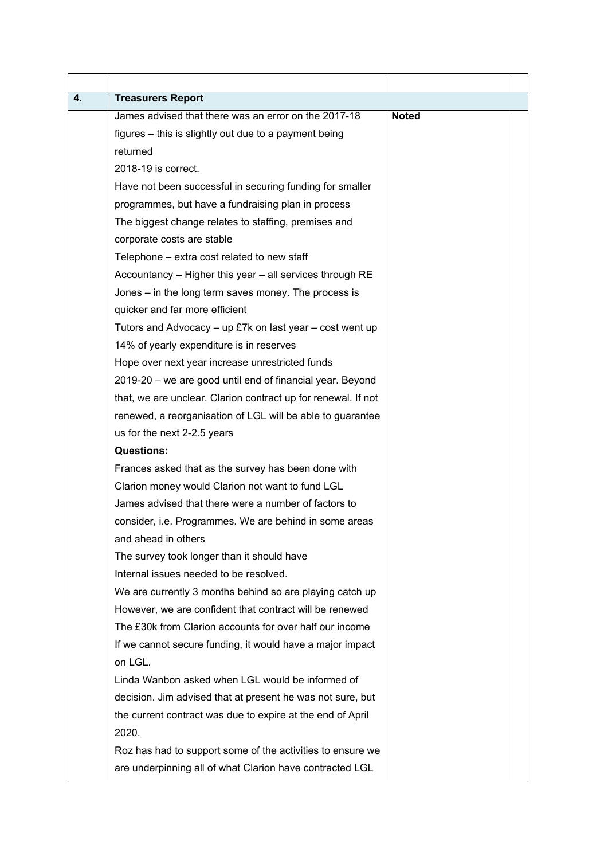| 4. | <b>Treasurers Report</b>                                      |              |  |
|----|---------------------------------------------------------------|--------------|--|
|    | James advised that there was an error on the 2017-18          | <b>Noted</b> |  |
|    | figures - this is slightly out due to a payment being         |              |  |
|    | returned                                                      |              |  |
|    | 2018-19 is correct.                                           |              |  |
|    | Have not been successful in securing funding for smaller      |              |  |
|    | programmes, but have a fundraising plan in process            |              |  |
|    | The biggest change relates to staffing, premises and          |              |  |
|    | corporate costs are stable                                    |              |  |
|    | Telephone – extra cost related to new staff                   |              |  |
|    | Accountancy - Higher this year - all services through RE      |              |  |
|    | Jones – in the long term saves money. The process is          |              |  |
|    | quicker and far more efficient                                |              |  |
|    | Tutors and Advocacy $-$ up £7k on last year $-$ cost went up  |              |  |
|    | 14% of yearly expenditure is in reserves                      |              |  |
|    | Hope over next year increase unrestricted funds               |              |  |
|    | 2019-20 – we are good until end of financial year. Beyond     |              |  |
|    | that, we are unclear. Clarion contract up for renewal. If not |              |  |
|    | renewed, a reorganisation of LGL will be able to guarantee    |              |  |
|    | us for the next 2-2.5 years                                   |              |  |
|    | <b>Questions:</b>                                             |              |  |
|    | Frances asked that as the survey has been done with           |              |  |
|    | Clarion money would Clarion not want to fund LGL              |              |  |
|    | James advised that there were a number of factors to          |              |  |
|    | consider, i.e. Programmes. We are behind in some areas        |              |  |
|    | and ahead in others                                           |              |  |
|    | The survey took longer than it should have                    |              |  |
|    | Internal issues needed to be resolved.                        |              |  |
|    | We are currently 3 months behind so are playing catch up      |              |  |
|    | However, we are confident that contract will be renewed       |              |  |
|    | The £30k from Clarion accounts for over half our income       |              |  |
|    | If we cannot secure funding, it would have a major impact     |              |  |
|    | on LGL.                                                       |              |  |
|    | Linda Wanbon asked when LGL would be informed of              |              |  |
|    | decision. Jim advised that at present he was not sure, but    |              |  |
|    | the current contract was due to expire at the end of April    |              |  |
|    | 2020.                                                         |              |  |
|    | Roz has had to support some of the activities to ensure we    |              |  |
|    | are underpinning all of what Clarion have contracted LGL      |              |  |
|    |                                                               |              |  |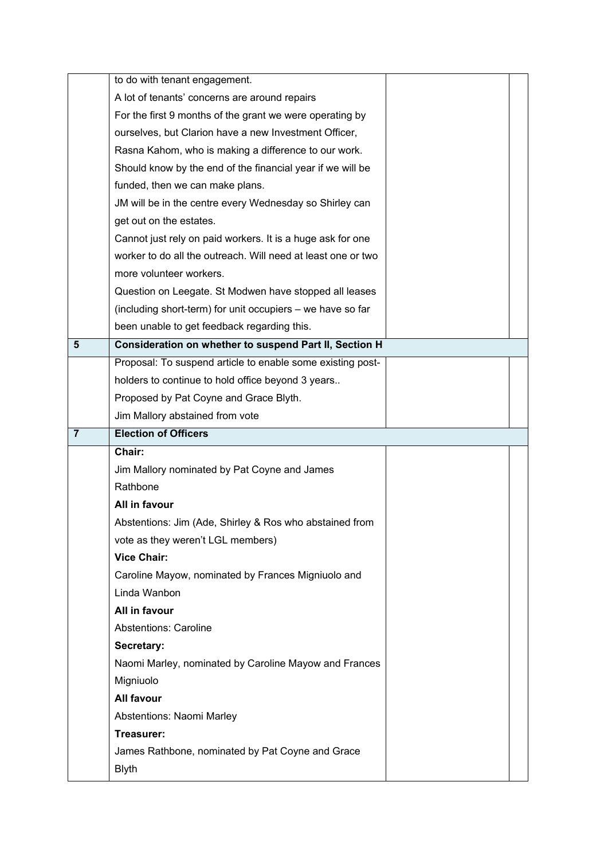|                | to do with tenant engagement.                                |  |
|----------------|--------------------------------------------------------------|--|
|                | A lot of tenants' concerns are around repairs                |  |
|                | For the first 9 months of the grant we were operating by     |  |
|                | ourselves, but Clarion have a new Investment Officer,        |  |
|                | Rasna Kahom, who is making a difference to our work.         |  |
|                | Should know by the end of the financial year if we will be   |  |
|                | funded, then we can make plans.                              |  |
|                | JM will be in the centre every Wednesday so Shirley can      |  |
|                | get out on the estates.                                      |  |
|                | Cannot just rely on paid workers. It is a huge ask for one   |  |
|                | worker to do all the outreach. Will need at least one or two |  |
|                | more volunteer workers.                                      |  |
|                | Question on Leegate. St Modwen have stopped all leases       |  |
|                | (including short-term) for unit occupiers - we have so far   |  |
|                | been unable to get feedback regarding this.                  |  |
| 5              | Consideration on whether to suspend Part II, Section H       |  |
|                | Proposal: To suspend article to enable some existing post-   |  |
|                | holders to continue to hold office beyond 3 years            |  |
|                | Proposed by Pat Coyne and Grace Blyth.                       |  |
|                | Jim Mallory abstained from vote                              |  |
|                |                                                              |  |
| $\overline{7}$ | <b>Election of Officers</b>                                  |  |
|                | Chair:                                                       |  |
|                | Jim Mallory nominated by Pat Coyne and James                 |  |
|                | Rathbone                                                     |  |
|                | All in favour                                                |  |
|                | Abstentions: Jim (Ade, Shirley & Ros who abstained from      |  |
|                | vote as they weren't LGL members)                            |  |
|                | <b>Vice Chair:</b>                                           |  |
|                | Caroline Mayow, nominated by Frances Migniuolo and           |  |
|                | Linda Wanbon                                                 |  |
|                | All in favour                                                |  |
|                | <b>Abstentions: Caroline</b>                                 |  |
|                | Secretary:                                                   |  |
|                | Naomi Marley, nominated by Caroline Mayow and Frances        |  |
|                | Migniuolo                                                    |  |
|                | All favour                                                   |  |
|                | Abstentions: Naomi Marley                                    |  |
|                | Treasurer:                                                   |  |
|                | James Rathbone, nominated by Pat Coyne and Grace             |  |